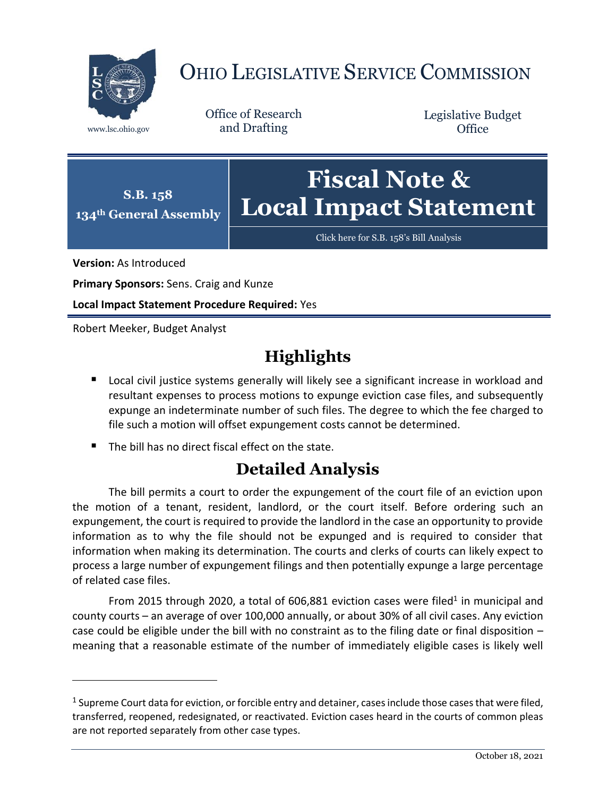

## OHIO LEGISLATIVE SERVICE COMMISSION

Office of Research www.lsc.ohio.gov and Drafting

Legislative Budget **Office** 



[Click here for S.B. 158](https://www.legislature.ohio.gov/legislation/legislation-documents?id=GA134-SB-158)'s Bill Analysis

**Version:** As Introduced

 $\overline{a}$ 

**Primary Sponsors:** Sens. Craig and Kunze

**Local Impact Statement Procedure Required:** Yes

Robert Meeker, Budget Analyst

## **Highlights**

- **DED Local civil justice systems generally will likely see a significant increase in workload and** resultant expenses to process motions to expunge eviction case files, and subsequently expunge an indeterminate number of such files. The degree to which the fee charged to file such a motion will offset expungement costs cannot be determined.
- The bill has no direct fiscal effect on the state.

## **Detailed Analysis**

The bill permits a court to order the expungement of the court file of an eviction upon the motion of a tenant, resident, landlord, or the court itself. Before ordering such an expungement, the court is required to provide the landlord in the case an opportunity to provide information as to why the file should not be expunged and is required to consider that information when making its determination. The courts and clerks of courts can likely expect to process a large number of expungement filings and then potentially expunge a large percentage of related case files.

From 2015 through 2020, a total of  $606,881$  eviction cases were filed<sup>1</sup> in municipal and county courts – an average of over 100,000 annually, or about 30% of all civil cases. Any eviction case could be eligible under the bill with no constraint as to the filing date or final disposition – meaning that a reasonable estimate of the number of immediately eligible cases is likely well

 $^1$  Supreme Court data for eviction, or forcible entry and detainer, cases include those cases that were filed, transferred, reopened, redesignated, or reactivated. Eviction cases heard in the courts of common pleas are not reported separately from other case types.